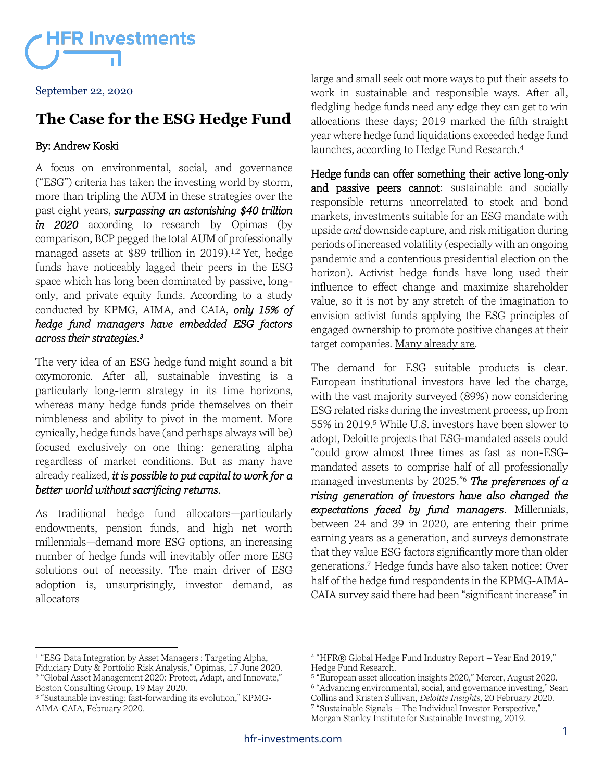

September 22, 2020

### **The Case for the ESG Hedge Fund**

### By: Andrew Koski

A focus on environmental, social, and governance ("ESG") criteria has taken the investing world by storm, more than tripling the AUM in these strategies over the past eight years, *surpassing an astonishing \$40 trillion in 2020* according to research by Opimas (by comparison, BCP pegged the total AUM of professionally managed assets at \$89 trillion in 2019).1,2 Yet, hedge funds have noticeably lagged their peers in the ESG space which has long been dominated by passive, longonly, and private equity funds. According to a study conducted by KPMG, AIMA, and CAIA, *only 15% of hedge fund managers have embedded ESG factors across their strategies.<sup>3</sup>*

The very idea of an ESG hedge fund might sound a bit oxymoronic. After all, sustainable investing is a particularly long-term strategy in its time horizons, whereas many hedge funds pride themselves on their nimbleness and ability to pivot in the moment. More cynically, hedge funds have (and perhaps always will be) focused exclusively on one thing: generating alpha regardless of market conditions. But as many have already realized, *it is possible to put capital to work for a better world without sacrificing returns.*

As traditional hedge fund allocators—particularly endowments, pension funds, and high net worth millennials—demand more ESG options, an increasing number of hedge funds will inevitably offer more ESG solutions out of necessity. The main driver of ESG adoption is, unsurprisingly, investor demand, as allocators

large and small seek out more ways to put their assets to work in sustainable and responsible ways. After all, fledgling hedge funds need any edge they can get to win allocations these days; 2019 marked the fifth straight year where hedge fund liquidations exceeded hedge fund launches, according to Hedge Fund Research.<sup>4</sup>

Hedge funds can offer something their active long-only and passive peers cannot: sustainable and socially responsible returns uncorrelated to stock and bond markets, investments suitable for an ESG mandate with upside *and* downside capture, and risk mitigation during periods of increased volatility (especially with an ongoing pandemic and a contentious presidential election on the horizon). Activist hedge funds have long used their influence to effect change and maximize shareholder value, so it is not by any stretch of the imagination to envision activist funds applying the ESG principles of engaged ownership to promote positive changes at their target companies. Many already are.

The demand for ESG suitable products is clear. European institutional investors have led the charge, with the vast majority surveyed (89%) now considering ESG related risks during the investment process, up from 55% in 2019.<sup>5</sup> While U.S. investors have been slower to adopt, Deloitte projects that ESG-mandated assets could "could grow almost three times as fast as non-ESGmandated assets to comprise half of all professionally managed investments by 2025."<sup>6</sup> *The preferences of a rising generation of investors have also changed the expectations faced by fund managers*. Millennials, between 24 and 39 in 2020, are entering their prime earning years as a generation, and surveys demonstrate that they value ESG factors significantly more than older generations.<sup>7</sup> Hedge funds have also taken notice: Over half of the hedge fund respondents in the KPMG-AIMA-CAIA survey said there had been "significant increase" in

<sup>&</sup>lt;sup>1</sup> "ESG Data Integration by Asset Managers : Targeting Alpha,

Fiduciary Duty & Portfolio Risk Analysis," Opimas, 17 June 2020. 2 "Global Asset Management 2020: Protect, Adapt, and Innovate," Boston Consulting Group, 19 May 2020.

<sup>3</sup> "Sustainable investing: fast-forwarding its evolution," KPMG-AIMA-CAIA, February 2020.

<sup>4</sup> "HFR® Global Hedge Fund Industry Report – Year End 2019," Hedge Fund Research.

<sup>5</sup> "European asset allocation insights 2020," Mercer, August 2020.

<sup>6</sup> "Advancing environmental, social, and governance investing," Sean Collins and Kristen Sullivan, *Deloitte Insights,* 20 February 2020.

<sup>7</sup> "Sustainable Signals – The Individual Investor Perspective,"

Morgan Stanley Institute for Sustainable Investing, 2019.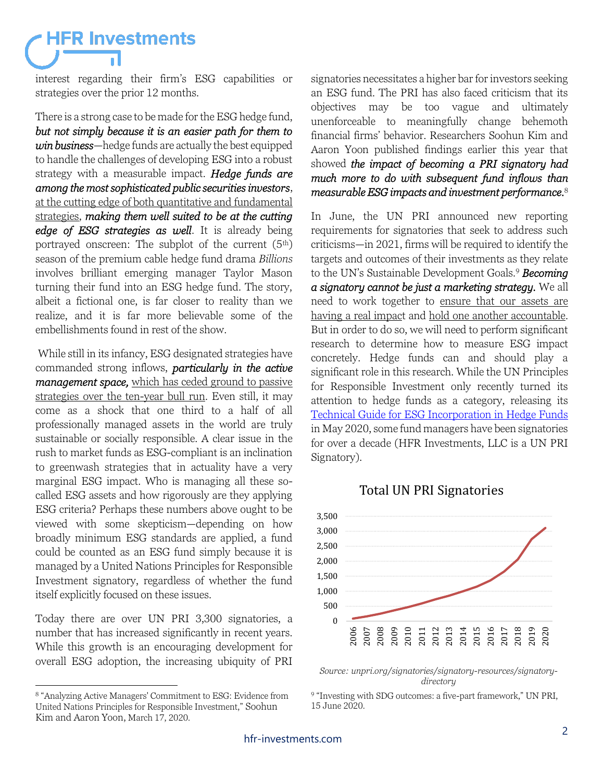## **HFR Investments**

interest regarding their firm's ESG capabilities or strategies over the prior 12 months.

There is a strong case to be made for the ESG hedge fund, *but not simply because it is an easier path for them to win business*—hedge funds are actually the best equipped to handle the challenges of developing ESG into a robust strategy with a measurable impact. *Hedge funds are among the most sophisticated public securities investors*, at the cutting edge of both quantitative and fundamental strategies, *making them well suited to be at the cutting edge of ESG strategies as well*. It is already being portrayed onscreen: The subplot of the current (5th) season of the premium cable hedge fund drama *Billions* involves brilliant emerging manager Taylor Mason turning their fund into an ESG hedge fund. The story, albeit a fictional one, is far closer to reality than we realize, and it is far more believable some of the embellishments found in rest of the show.

While still in its infancy, ESG designated strategies have commanded strong inflows, *particularly in the active management space,* which has ceded ground to passive strategies over the ten-year bull run. Even still, it may come as a shock that one third to a half of all professionally managed assets in the world are truly sustainable or socially responsible. A clear issue in the rush to market funds as ESG-compliant is an inclination to greenwash strategies that in actuality have a very marginal ESG impact. Who is managing all these socalled ESG assets and how rigorously are they applying ESG criteria? Perhaps these numbers above ought to be viewed with some skepticism—depending on how broadly minimum ESG standards are applied, a fund could be counted as an ESG fund simply because it is managed by a United Nations Principles for Responsible Investment signatory, regardless of whether the fund itself explicitly focused on these issues.

Today there are over UN PRI 3,300 signatories, a number that has increased significantly in recent years. While this growth is an encouraging development for overall ESG adoption, the increasing ubiquity of PRI signatories necessitates a higher bar for investors seeking an ESG fund. The PRI has also faced criticism that its objectives may be too vague and ultimately unenforceable to meaningfully change behemoth financial firms' behavior. Researchers Soohun Kim and Aaron Yoon published findings earlier this year that showed *the impact of becoming a PRI signatory had much more to do with subsequent fund inflows than measurable ESG impacts and investment performance.*<sup>8</sup>

In June, the UN PRI announced new reporting requirements for signatories that seek to address such criticisms—in 2021, firms will be required to identify the targets and outcomes of their investments as they relate to the UN's Sustainable Development Goals.<sup>9</sup> *Becoming a signatory cannot be just a marketing strategy.* We all need to work together to ensure that our assets are having a real impact and hold one another accountable. But in order to do so, we will need to perform significant research to determine how to measure ESG impact concretely. Hedge funds can and should play a significant role in this research. While the UN Principles for Responsible Investment only recently turned its attention to hedge funds as a category, releasing its [Technical Guide for ESG Incorporation in Hedge Funds](https://www.unpri.org/download?ac=10515) in May 2020, some fund managers have been signatories for over a decade (HFR Investments, LLC is a UN PRI Signatory).

### Total UN PRI Signatories



*Source: unpri.org/signatories/signatory-resources/signatorydirectory*

9 "Investing with SDG outcomes: a five-part framework," UN PRI, 15 June 2020.

<sup>8</sup> "Analyzing Active Managers' Commitment to ESG: Evidence from United Nations Principles for Responsible Investment," Soohun Kim and Aaron Yoon, March 17, 2020.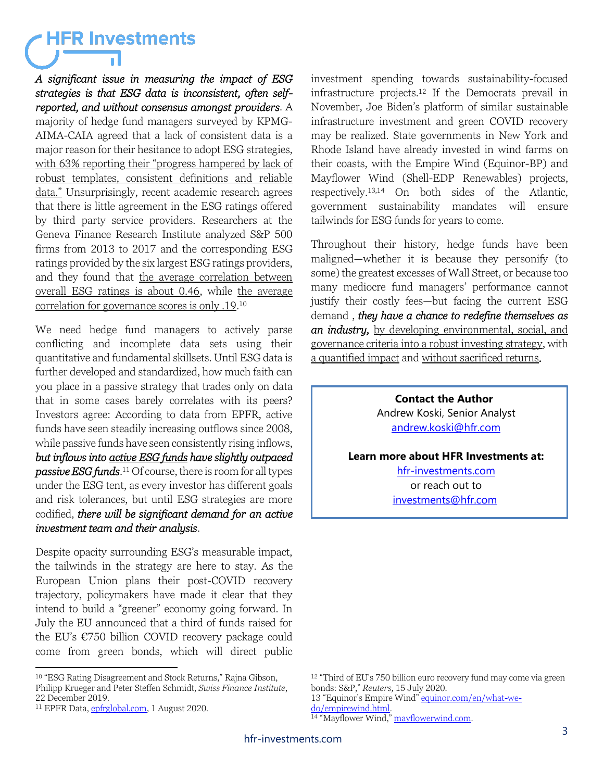## **HFR Investments**

*A significant issue in measuring the impact of ESG strategies is that ESG data is inconsistent, often selfreported, and without consensus amongst providers*. A majority of hedge fund managers surveyed by KPMG-AIMA-CAIA agreed that a lack of consistent data is a major reason for their hesitance to adopt ESG strategies, with 63% reporting their "progress hampered by lack of robust templates, consistent definitions and reliable data." Unsurprisingly, recent academic research agrees that there is little agreement in the ESG ratings offered by third party service providers. Researchers at the Geneva Finance Research Institute analyzed S&P 500 firms from 2013 to 2017 and the corresponding ESG ratings provided by the six largest ESG ratings providers, and they found that the average correlation between overall ESG ratings is about 0.46, while the average correlation for governance scores is only .19. 10

We need hedge fund managers to actively parse conflicting and incomplete data sets using their quantitative and fundamental skillsets. Until ESG data is further developed and standardized, how much faith can you place in a passive strategy that trades only on data that in some cases barely correlates with its peers? Investors agree: According to data from EPFR, active funds have seen steadily increasing outflows since 2008, while passive funds have seen consistently rising inflows, *but inflows into active ESG funds have slightly outpaced passive ESG funds*. <sup>11</sup> Of course, there is room for all types under the ESG tent, as every investor has different goals and risk tolerances, but until ESG strategies are more codified, *there will be significant demand for an active investment team and their analysis*.

Despite opacity surrounding ESG's measurable impact, the tailwinds in the strategy are here to stay. As the European Union plans their post-COVID recovery trajectory, policymakers have made it clear that they intend to build a "greener" economy going forward. In July the EU announced that a third of funds raised for the EU's €750 billion COVID recovery package could come from green bonds, which will direct public investment spending towards sustainability-focused infrastructure projects.<sup>12</sup> If the Democrats prevail in November, Joe Biden's platform of similar sustainable infrastructure investment and green COVID recovery may be realized. State governments in New York and Rhode Island have already invested in wind farms on their coasts, with the Empire Wind (Equinor-BP) and Mayflower Wind (Shell-EDP Renewables) projects, respectively.13,14 On both sides of the Atlantic, government sustainability mandates will ensure tailwinds for ESG funds for years to come.

Throughout their history, hedge funds have been maligned—whether it is because they personify (to some) the greatest excesses of Wall Street, or because too many mediocre fund managers' performance cannot justify their costly fees—but facing the current ESG demand , *they have a chance to redefine themselves as an industry,* by developing environmental, social, and governance criteria into a robust investing strategy, with a quantified impact and without sacrificed returns*.*

> **Contact the Author** Andrew Koski, Senior Analyst [andrew.koski@hfr.com](mailto:gneal@hfr.com)

#### **Learn more about HFR Investments at:**

[hfr-investments.com](https://hfr-investments.com/) or reach out to [investments@hfr.com](mailto:investments@hfr.com)

13 "Equinor's Empire Wind" [equinor.com/en/what-we](https://www.equinor.com/en/what-we-do/empirewind.html)[do/empirewind.html.](https://www.equinor.com/en/what-we-do/empirewind.html) <sup>14</sup> "Mayflower Wind," [mayflowerwind.com.](http://www.mayflowerwind.com/)

<sup>&</sup>lt;sup>10</sup> "ESG Rating Disagreement and Stock Returns," Rajna Gibson, Philipp Krueger and Peter Steffen Schmidt, *Swiss Finance Institute*, 22 December 2019.

<sup>&</sup>lt;sup>11</sup> EPFR Data[, epfrglobal.com,](http://www.epfrglobal.com/) 1 August 2020.

<sup>&</sup>lt;sup>12</sup> "Third of EU's 750 billion euro recovery fund may come via green bonds: S&P," *Reuters,* 15 July 2020.